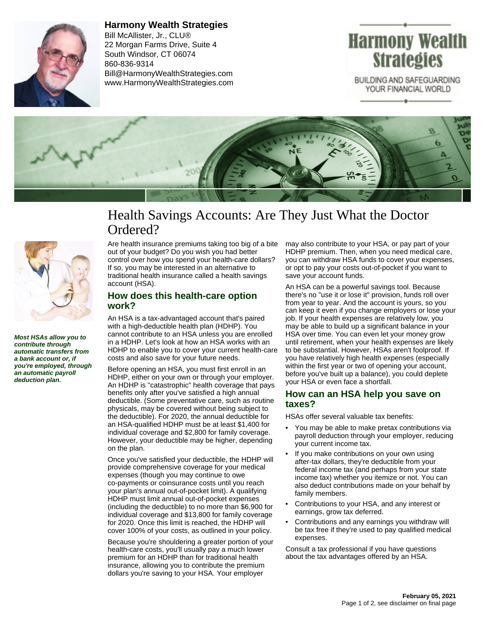

**Harmony Wealth Strategies** Bill McAllister, Jr., CLU® 22 Morgan Farms Drive, Suite 4 South Windsor, CT 06074 860-836-9314 Bill@HarmonyWealthStrategies.com www.HarmonyWealthStrategies.com



BUILDING AND SAFEGUARDING YOUR FINANCIAL WORLD



# Health Savings Accounts: Are They Just What the Doctor Ordered?



**Most HSAs allow you to contribute through automatic transfers from a bank account or, if you're employed, through an automatic payroll deduction plan.**

Are health insurance premiums taking too big of a bite out of your budget? Do you wish you had better control over how you spend your health-care dollars? If so, you may be interested in an alternative to traditional health insurance called a health savings account (HSA).

#### **How does this health-care option work?**

An HSA is a tax-advantaged account that's paired with a high-deductible health plan (HDHP). You cannot contribute to an HSA unless you are enrolled in a HDHP. Let's look at how an HSA works with an HDHP to enable you to cover your current health-care costs and also save for your future needs.

Before opening an HSA, you must first enroll in an HDHP, either on your own or through your employer. An HDHP is "catastrophic" health coverage that pays benefits only after you've satisfied a high annual deductible. (Some preventative care, such as routine physicals, may be covered without being subject to the deductible). For 2020, the annual deductible for an HSA-qualified HDHP must be at least \$1,400 for individual coverage and \$2,800 for family coverage. However, your deductible may be higher, depending on the plan.

Once you've satisfied your deductible, the HDHP will provide comprehensive coverage for your medical expenses (though you may continue to owe co-payments or coinsurance costs until you reach your plan's annual out-of-pocket limit). A qualifying HDHP must limit annual out-of-pocket expenses (including the deductible) to no more than \$6,900 for individual coverage and \$13,800 for family coverage for 2020. Once this limit is reached, the HDHP will cover 100% of your costs, as outlined in your policy.

Because you're shouldering a greater portion of your health-care costs, you'll usually pay a much lower premium for an HDHP than for traditional health insurance, allowing you to contribute the premium dollars you're saving to your HSA. Your employer

may also contribute to your HSA, or pay part of your HDHP premium. Then, when you need medical care, you can withdraw HSA funds to cover your expenses, or opt to pay your costs out-of-pocket if you want to save your account funds.

An HSA can be a powerful savings tool. Because there's no "use it or lose it" provision, funds roll over from year to year. And the account is yours, so you can keep it even if you change employers or lose your job. If your health expenses are relatively low, you may be able to build up a significant balance in your HSA over time. You can even let your money grow until retirement, when your health expenses are likely to be substantial. However, HSAs aren't foolproof. If you have relatively high health expenses (especially within the first year or two of opening your account, before you've built up a balance), you could deplete your HSA or even face a shortfall.

#### **How can an HSA help you save on taxes?**

HSAs offer several valuable tax benefits:

- You may be able to make pretax contributions via payroll deduction through your employer, reducing your current income tax.
- If you make contributions on your own using after-tax dollars, they're deductible from your federal income tax (and perhaps from your state income tax) whether you itemize or not. You can also deduct contributions made on your behalf by family members.
- Contributions to your HSA, and any interest or earnings, grow tax deferred.
- Contributions and any earnings you withdraw will be tax free if they're used to pay qualified medical expenses.

Consult a tax professional if you have questions about the tax advantages offered by an HSA.